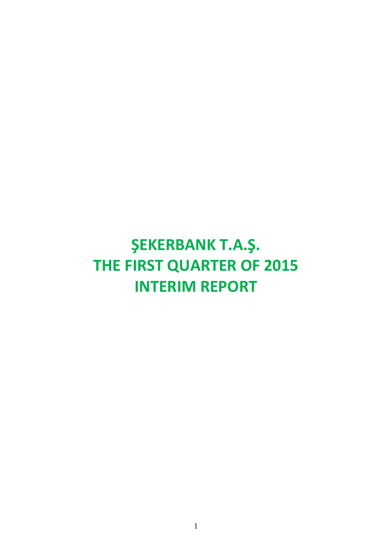# **ŞEKERBANK T.A.Ş. THE FIRST QUARTER OF 2015 INTERIM REPORT**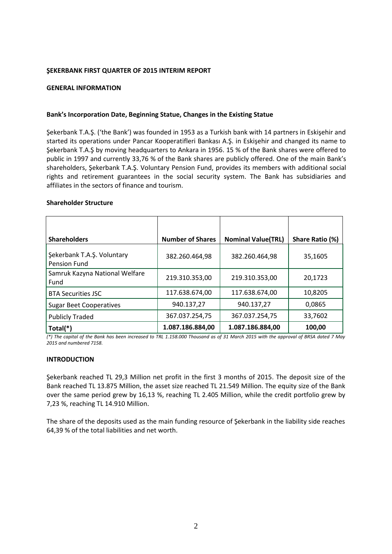#### **ŞEKERBANK FIRST QUARTER OF 2015 INTERIM REPORT**

#### **GENERAL INFORMATION**

#### **Bank's Incorporation Date, Beginning Statue, Changes in the Existing Statue**

Şekerbank T.A.Ş. ('the Bank') was founded in 1953 as a Turkish bank with 14 partners in Eskişehir and started its operations under Pancar Kooperatifleri Bankası A.Ş. in Eskişehir and changed its name to Şekerbank T.A.Ş by moving headquarters to Ankara in 1956. 15 % of the Bank shares were offered to public in 1997 and currently 33,76 % of the Bank shares are publicly offered. One of the main Bank's shareholders, Şekerbank T.A.Ş. Voluntary Pension Fund, provides its members with additional social rights and retirement guarantees in the social security system. The Bank has subsidiaries and affiliates in the sectors of finance and tourism.

#### **Shareholder Structure**

| <b>Shareholders</b>                        | <b>Number of Shares</b> | <b>Nominal Value(TRL)</b> | Share Ratio (%) |
|--------------------------------------------|-------------------------|---------------------------|-----------------|
| Şekerbank T.A.Ş. Voluntary<br>Pension Fund | 382.260.464,98          | 382.260.464.98            | 35,1605         |
| Samruk Kazyna National Welfare<br>Fund     | 219.310.353,00          | 219.310.353,00            | 20.1723         |
| <b>BTA Securities JSC</b>                  | 117.638.674,00          | 117.638.674,00            | 10,8205         |
| <b>Sugar Beet Cooperatives</b>             | 940.137,27              | 940.137,27                | 0,0865          |
| <b>Publicly Traded</b>                     | 367.037.254,75          | 367.037.254,75            | 33,7602         |
| Total(*)                                   | 1.087.186.884,00        | 1.087.186.884,00          | 100,00          |

*(\*) The capital of the Bank has been increased to TRL 1.158.000 Thousand as of 31 March 2015 with the approval of BRSA dated 7 May 2015 and numbered 7158.*

# **INTRODUCTION**

Şekerbank reached TL 29,3 Million net profit in the first 3 months of 2015. The deposit size of the Bank reached TL 13.875 Million, the asset size reached TL 21.549 Million. The equity size of the Bank over the same period grew by 16,13 %, reaching TL 2.405 Million, while the credit portfolio grew by 7,23 %, reaching TL 14.910 Million.

The share of the deposits used as the main funding resource of Şekerbank in the liability side reaches 64,39 % of the total liabilities and net worth.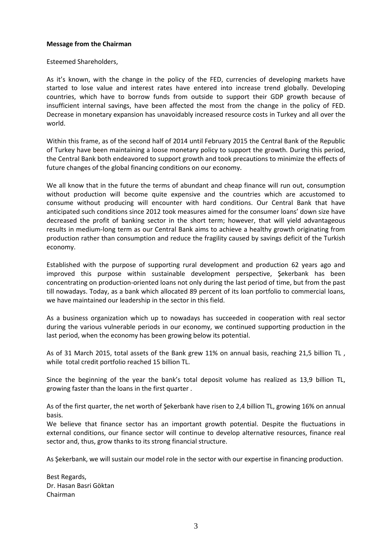### **Message from the Chairman**

Esteemed Shareholders,

As it's known, with the change in the policy of the FED, currencies of developing markets have started to lose value and interest rates have entered into increase trend globally. Developing countries, which have to borrow funds from outside to support their GDP growth because of insufficient internal savings, have been affected the most from the change in the policy of FED. Decrease in monetary expansion has unavoidably increased resource costs in Turkey and all over the world.

Within this frame, as of the second half of 2014 until February 2015 the Central Bank of the Republic of Turkey have been maintaining a loose monetary policy to support the growth. During this period, the Central Bank both endeavored to support growth and took precautions to minimize the effects of future changes of the global financing conditions on our economy.

We all know that in the future the terms of abundant and cheap finance will run out, consumption without production will become quite expensive and the countries which are accustomed to consume without producing will encounter with hard conditions. Our Central Bank that have anticipated such conditions since 2012 took measures aimed for the consumer loans' down size have decreased the profit of banking sector in the short term; however, that will yield advantageous results in medium-long term as our Central Bank aims to achieve a healthy growth originating from production rather than consumption and reduce the fragility caused by savings deficit of the Turkish economy.

Established with the purpose of supporting rural development and production 62 years ago and improved this purpose within sustainable development perspective, Şekerbank has been concentrating on production-oriented loans not only during the last period of time, but from the past till nowadays. Today, as a bank which allocated 89 percent of its loan portfolio to commercial loans, we have maintained our leadership in the sector in this field.

As a business organization which up to nowadays has succeeded in cooperation with real sector during the various vulnerable periods in our economy, we continued supporting production in the last period, when the economy has been growing below its potential.

As of 31 March 2015, total assets of the Bank grew 11% on annual basis, reaching 21,5 billion TL, while total credit portfolio reached 15 billion TL.

Since the beginning of the year the bank's total deposit volume has realized as 13,9 billion TL, growing faster than the loans in the first quarter .

As of the first quarter, the net worth of Şekerbank have risen to 2,4 billion TL, growing 16% on annual basis.

We believe that finance sector has an important growth potential. Despite the fluctuations in external conditions, our finance sector will continue to develop alternative resources, finance real sector and, thus, grow thanks to its strong financial structure.

As Şekerbank, we will sustain our model role in the sector with our expertise in financing production.

Best Regards, Dr. Hasan Basri Göktan Chairman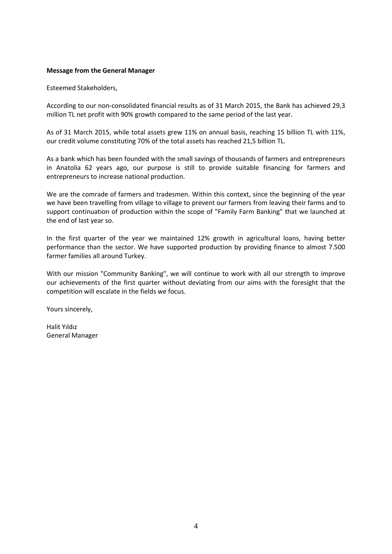### **Message from the General Manager**

Esteemed Stakeholders,

According to our non-consolidated financial results as of 31 March 2015, the Bank has achieved 29,3 million TL net profit with 90% growth compared to the same period of the last year.

As of 31 March 2015, while total assets grew 11% on annual basis, reaching 15 billion TL with 11%, our credit volume constituting 70% of the total assets has reached 21,5 billion TL.

As a bank which has been founded with the small savings of thousands of farmers and entrepreneurs in Anatolia 62 years ago, our purpose is still to provide suitable financing for farmers and entrepreneurs to increase national production.

We are the comrade of farmers and tradesmen. Within this context, since the beginning of the year we have been travelling from village to village to prevent our farmers from leaving their farms and to support continuation of production within the scope of "Family Farm Banking" that we launched at the end of last year so.

In the first quarter of the year we maintained 12% growth in agricultural loans, having better performance than the sector. We have supported production by providing finance to almost 7.500 farmer families all around Turkey.

With our mission "Community Banking", we will continue to work with all our strength to improve our achievements of the first quarter without deviating from our aims with the foresight that the competition will escalate in the fields we focus.

Yours sincerely,

Halit Yıldız General Manager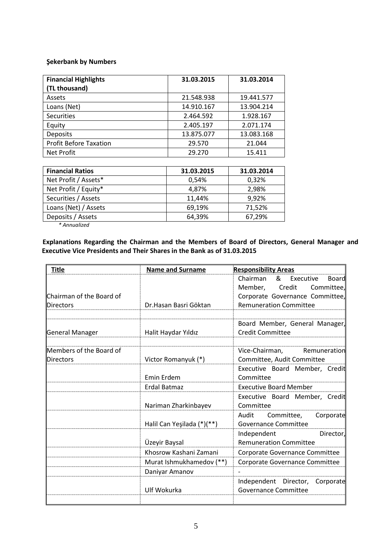# **Şekerbank by Numbers**

| <b>Financial Highlights</b><br>(TL thousand) | 31.03.2015 | 31.03.2014 |
|----------------------------------------------|------------|------------|
| Assets                                       | 21.548.938 | 19.441.577 |
| Loans (Net)                                  | 14.910.167 | 13.904.214 |
| <b>Securities</b>                            | 2.464.592  | 1.928.167  |
| Equity                                       | 2.405.197  | 2.071.174  |
| Deposits                                     | 13.875.077 | 13.083.168 |
| <b>Profit Before Taxation</b>                | 29.570     | 21.044     |
| <b>Net Profit</b>                            | 29.270     | 15.411     |

| <b>Financial Ratios</b> | 31.03.2015 | 31.03.2014 |
|-------------------------|------------|------------|
| Net Profit / Assets*    | 0.54%      | 0,32%      |
| Net Profit / Equity*    | 4,87%      | 2,98%      |
| Securities / Assets     | 11,44%     | 9,92%      |
| Loans (Net) / Assets    | 69,19%     | 71,52%     |
| Deposits / Assets       | 64,39%     | 67,29%     |

*\* Annualized*

**Explanations Regarding the Chairman and the Members of Board of Directors, General Manager and Executive Vice Presidents and Their Shares in the Bank as of 31.03.2015**

| <b>Title</b>             | <b>Name and Surname</b>    | <b>Responsibility Areas</b>                                      |  |
|--------------------------|----------------------------|------------------------------------------------------------------|--|
|                          |                            | Chairman<br>& Executive<br>Board                                 |  |
|                          |                            | Member,<br>Credit<br>Committee,                                  |  |
| Chairman of the Board of |                            | Corporate Governance Committee,                                  |  |
| <b>Directors</b>         | Dr.Hasan Basri Göktan      | <b>Remuneration Committee</b>                                    |  |
|                          |                            |                                                                  |  |
|                          |                            | Board Member, General Manager,                                   |  |
| <b>General Manager</b>   | Halit Haydar Yıldız        | <b>Credit Committee</b>                                          |  |
|                          |                            |                                                                  |  |
| Members of the Board of  |                            | Vice-Chairman,<br>Remuneration                                   |  |
| <b>Directors</b>         | Victor Romanyuk (*)        | Committee, Audit Committee                                       |  |
|                          |                            | Executive Board Member, Credit                                   |  |
|                          | Emin Erdem                 | Committee                                                        |  |
|                          | Erdal Batmaz               | <b>Executive Board Member</b>                                    |  |
|                          |                            | Executive Board Member, Credit                                   |  |
|                          | Nariman Zharkinbayev       | Committee                                                        |  |
|                          |                            | Audit<br>Committee,<br>Corporate                                 |  |
|                          | Halil Can Yeşilada (*)(**) | <b>Governance Committee</b>                                      |  |
|                          |                            | Independent<br>Director,                                         |  |
|                          | Üzeyir Baysal              | <b>Remuneration Committee</b>                                    |  |
|                          | Khosrow Kashani Zamani     | Corporate Governance Committee<br>Corporate Governance Committee |  |
|                          | Murat Ishmukhamedov (**)   |                                                                  |  |
|                          | Daniyar Amanov             |                                                                  |  |
|                          |                            | Independent Director, Corporate                                  |  |
|                          | Ulf Wokurka                | <b>Governance Committee</b>                                      |  |
|                          |                            |                                                                  |  |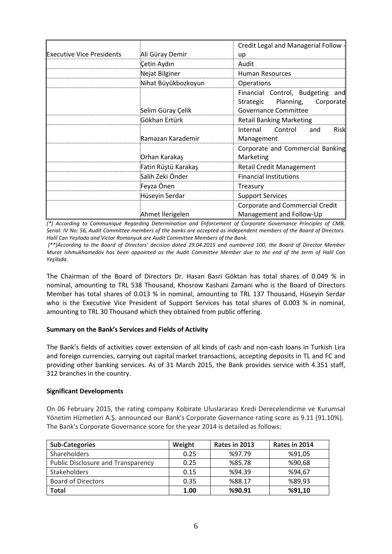|                                  |                     | Credit Legal and Managerial Follow -                                                                      |  |
|----------------------------------|---------------------|-----------------------------------------------------------------------------------------------------------|--|
| <b>Executive Vice Presidents</b> | Ali Güray Demir     | up                                                                                                        |  |
|                                  | Çetin Aydın         | Audit                                                                                                     |  |
|                                  | Nejat Bilginer      | <b>Human Resources</b>                                                                                    |  |
|                                  | Nihat Büyükbozkoyun | <b>Operations</b>                                                                                         |  |
|                                  | Selim Güray Çelik   | Financial Control, Budgeting<br>and<br>Planning,<br>Corporate<br>Strategic<br>Governance Committee        |  |
|                                  | Gökhan Ertürk       | <b>Retail Banking Marketing</b>                                                                           |  |
|                                  | Ramazan Karademir   | Control<br>Internal<br><b>Risk</b><br>and<br>Management                                                   |  |
|                                  | Orhan Karakaş       | Corporate and Commercial Banking<br>Marketing                                                             |  |
|                                  | Fatin Rüştü Karakaş | <b>Retail Credit Management</b>                                                                           |  |
|                                  | Salih Zeki Önder    | <b>Financial Institutions</b>                                                                             |  |
|                                  | Feyza Önen          | Treasury<br><b>Support Services</b><br><b>Corporate and Commercial Credit</b><br>Management and Follow-Up |  |
|                                  | Hüseyin Serdar      |                                                                                                           |  |
|                                  | Ahmet İlerigelen    |                                                                                                           |  |

*(\*) According to Communiqué Regarding Determination and Enforcement of Corporate Governance Principles of CMB, Serial: IV No: 56, Audit Committee members of the banks are accepted as independent members of the Board of Directors. Halil Can Yeşilada and Victor Romanyuk are Audit Committee Members of the Bank.*

*(\*\*)According to the Board of Directors' decision dated 29.04.2015 and numbered 100, the Board of Director Member Murat Ishmukhamedov has been appointed as the Audit Committee Member due to the end of the term of Halil Can Yeşilada.*

The Chairman of the Board of Directors Dr. Hasan Basri Göktan has total shares of 0.049 % in nominal, amounting to TRL 538 Thousand, Khosrow Kashani Zamani who is the Board of Directors Member has total shares of 0.013 % in nominal, amounting to TRL 137 Thousand, Hüseyin Serdar who is the Executive Vice President of Support Services has total shares of 0.003 % in nominal, amounting to TRL 30 Thousand which they obtained from public offering.

# **Summary on the Bank's Services and Fields of Activity**

The Bank's fields of activities cover extension of all kinds of cash and non-cash loans in Turkish Lira and foreign currencies, carrying out capital market transactions, accepting deposits in TL and FC and providing other banking services. As of 31 March 2015, the Bank provides service with 4.351 staff, 312 branches in the country.

# **Significant Developments**

On 06 February 2015, the rating company Kobirate Uluslararası Kredi Derecelendirme ve Kurumsal Yönetim Hizmetleri A.Ş. announced our Bank's Corporate Governance rating score as 9.11 (91.10%). The Bank's Corporate Governance score for the year 2014 is detailed as follows:

| <b>Sub-Categories</b>                     | Weight | Rates in 2013 | Rates in 2014 |
|-------------------------------------------|--------|---------------|---------------|
| <b>Shareholders</b>                       | 0.25   | %97.79        | %91,05        |
| <b>Public Disclosure and Transparency</b> | 0.25   | %85.78        | %90,68        |
| <b>Stakeholders</b>                       | 0.15   | %94.39        | %94,67        |
| <b>Board of Directors</b>                 | 0.35   | %88.17        | %89,93        |
| <b>Total</b>                              | 1.00   | %90.91        | %91,10        |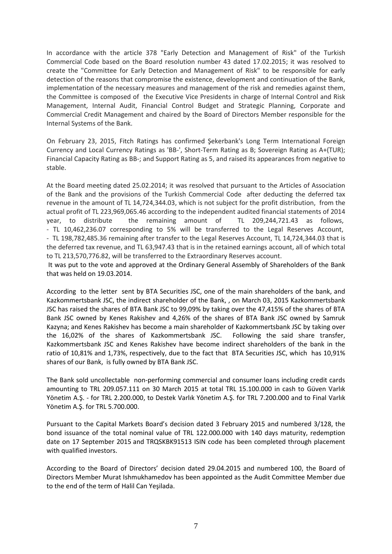In accordance with the article 378 "Early Detection and Management of Risk" of the Turkish Commercial Code based on the Board resolution number 43 dated 17.02.2015; it was resolved to create the "Committee for Early Detection and Management of Risk" to be responsible for early detection of the reasons that compromise the existence, development and continuation of the Bank, implementation of the necessary measures and management of the risk and remedies against them, the Committee is composed of the Executive Vice Presidents in charge of Internal Control and Risk Management, Internal Audit, Financial Control Budget and Strategic Planning, Corporate and Commercial Credit Management and chaired by the Board of Directors Member responsible for the Internal Systems of the Bank.

On February 23, 2015, Fitch Ratings has confirmed Şekerbank's Long Term International Foreign Currency and Local Currency Ratings as 'BB-', Short-Term Rating as B; Sovereign Rating as A+(TUR); Financial Capacity Rating as BB-; and Support Rating as 5, and raised its appearances from negative to stable.

At the Board meeting dated 25.02.2014; it was resolved that pursuant to the Articles of Association of the Bank and the provisions of the Turkish Commercial Code after deducting the deferred tax revenue in the amount of TL 14,724,344.03, which is not subject for the profit distribution, from the actual profit of TL 223,969,065.46 according to the independent audited financial statements of 2014 year, to distribute the remaining amount of TL 209,244,721.43 as follows, - TL 10,462,236.07 corresponding to 5% will be transferred to the Legal Reserves Account, - TL 198,782,485.36 remaining after transfer to the Legal Reserves Account, TL 14,724,344.03 that is the deferred tax revenue, and TL 63,947.43 that is in the retained earnings account, all of which total to TL 213,570,776.82, will be transferred to the Extraordinary Reserves account.

It was put to the vote and approved at the Ordinary General Assembly of Shareholders of the Bank that was held on 19.03.2014.

According to the letter sent by BTA Securities JSC, one of the main shareholders of the bank, and Kazkommertsbank JSC, the indirect shareholder of the Bank, , on March 03, 2015 Kazkommertsbank JSC has raised the shares of BTA Bank JSC to 99,09% by taking over the 47,415% of the shares of BTA Bank JSC owned by Kenes Rakishev and 4,26% of the shares of BTA Bank JSC owned by Samruk Kazyna; and Kenes Rakishev has become a main shareholder of Kazkommertsbank JSC by taking over the 16,02% of the shares of Kazkommertsbank JSC. Following the said share transfer, Kazkommertsbank JSC and Kenes Rakishev have become indirect shareholders of the bank in the ratio of 10,81% and 1,73%, respectively, due to the fact that BTA Securities JSC, which has 10,91% shares of our Bank, is fully owned by BTA Bank JSC.

The Bank sold uncollectable non-performing commercial and consumer loans including credit cards amounting to TRL 209.057.111 on 30 March 2015 at total TRL 15.100.000 in cash to Güven Varlık Yönetim A.Ş. - for TRL 2.200.000, to Destek Varlık Yönetim A.Ş. for TRL 7.200.000 and to Final Varlık Yönetim A.Ş. for TRL 5.700.000.

Pursuant to the Capital Markets Board's decision dated 3 February 2015 and numbered 3/128, the bond issuance of the total nominal value of TRL 122.000.000 with 140 days maturity, redemption date on 17 September 2015 and TRQSKBK91513 ISIN code has been completed through placement with qualified investors.

According to the Board of Directors' decision dated 29.04.2015 and numbered 100, the Board of Directors Member Murat Ishmukhamedov has been appointed as the Audit Committee Member due to the end of the term of Halil Can Yeşilada.